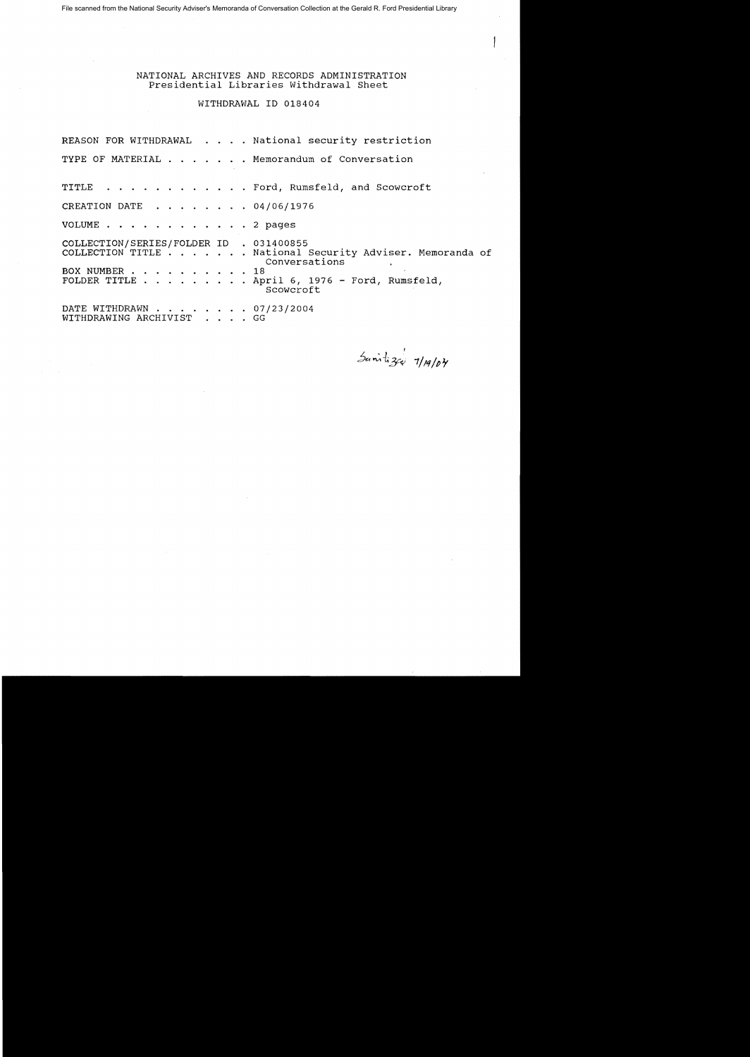File scanned from the National Security Adviser's Memoranda of Conversation Collection at the Gerald R. Ford Presidential Library

NATIONAL ARCHIVES AND RECORDS ADMINISTRATION Presidential Libraries Withdrawal Sheet

# WITHDRAWAL 10 018404

REASON FOR WITHDRAWAL . . . . National security restriction TYPE OF MATERIAL . . . . . . Memorandum of Conversation TITLE . . . . . . . . . . . Ford, Rumsfeld, and Scowcroft CREATION DATE  $\ldots$ ,  $\ldots$ , 04/06/1976 VOLUME . . . . . . . . . . . 2 pages COLLECTION/SERIES/FOLDER 10 . 031400855 COLLECTION TITLE ....... National Security Adviser. Memoranda of Conversations BOX NUMBER . . . . . . . . . . 18 FOLDER TITLE ......... April 6, 1976 - Ford, Rumsfeld, Scowcroft BOOWCIOT<br>DATE WITHDRAWN . . . . . . . . 07/23/2004<br>WITHDRAWING ARCHIVIST . . . . GG

, c~~-l.3C"! *1/11/P¥*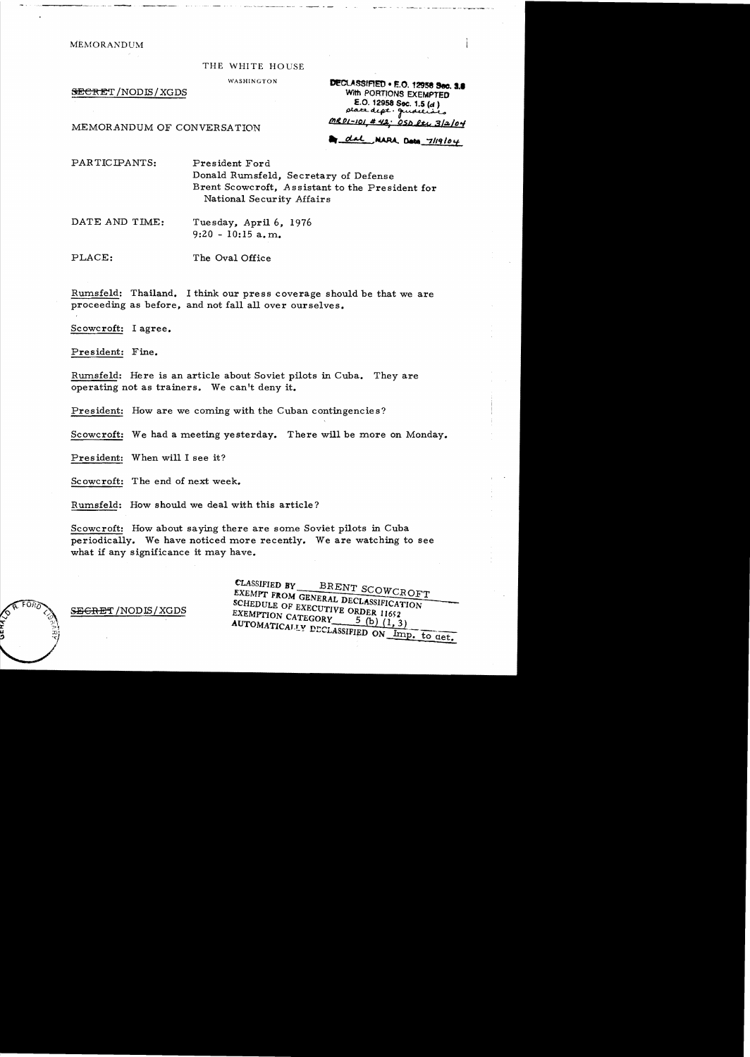MEMORANDUM

#### THE WHITE HOUSE

WASHINGTON

SECRET/NODIS/XGDS

DECLASSIFIED . E.O. 12956 Sec. 3.8 With PORTIONS EXEMPTED E.O. 12958 Sec. 1.5 (d) place dept. quidelines <u>MR01-101 # 42.</u> <u>OSD ltv 3/2/04</u>

MEMORANDUM OF CONVERSATION

dal NAPA Dota 7/19/04

PARTICIPANTS: President Ford Donald Rumsfeld, Secretary of Defense Brent Scowcroft, Assistant to the President for National Security Affairs

DATE AND TIME: Tuesday, April 6, 1976  $9:20 - 10:15$  a.m.

PLACE: The Oval Office

Rumsfeld: Thailand. I think our press coverage should be that we are proceeding as before, and not fall all over ourselves.

Scowcroft: I agree.

President: Fine.

Rumsfeld: Here is an article about Soviet pilots in Cuba. They are operating not as trainers. We can't deny it.

President: How are we coming with the Cuban contingencies?

Scowcroft: We had a meeting yesterday. There will be more on Monday.

President: When will I see it?

Scowcroft: The end of next week.

Rumsfeld: How should we deal with this article?

Scowcroft: How about saying there are some Soviet pilots in Cuba periodically. We have noticed more recently. We are watching to see what if any significance it may have.

> CLASSIFIED BY BRENT SCOWCROFT EXEMPT FROM GENERAL DECLASSIFICATION SCHEDULE OF EXECUTIVE ORDER 11652 EXEMPTION CATEGORY  $\frac{5(b)}{(1,3)}$ AUTOMATICALLY DECLASSIFIED ON Imp. to get.

**SEGRET / NODIS / XGDS**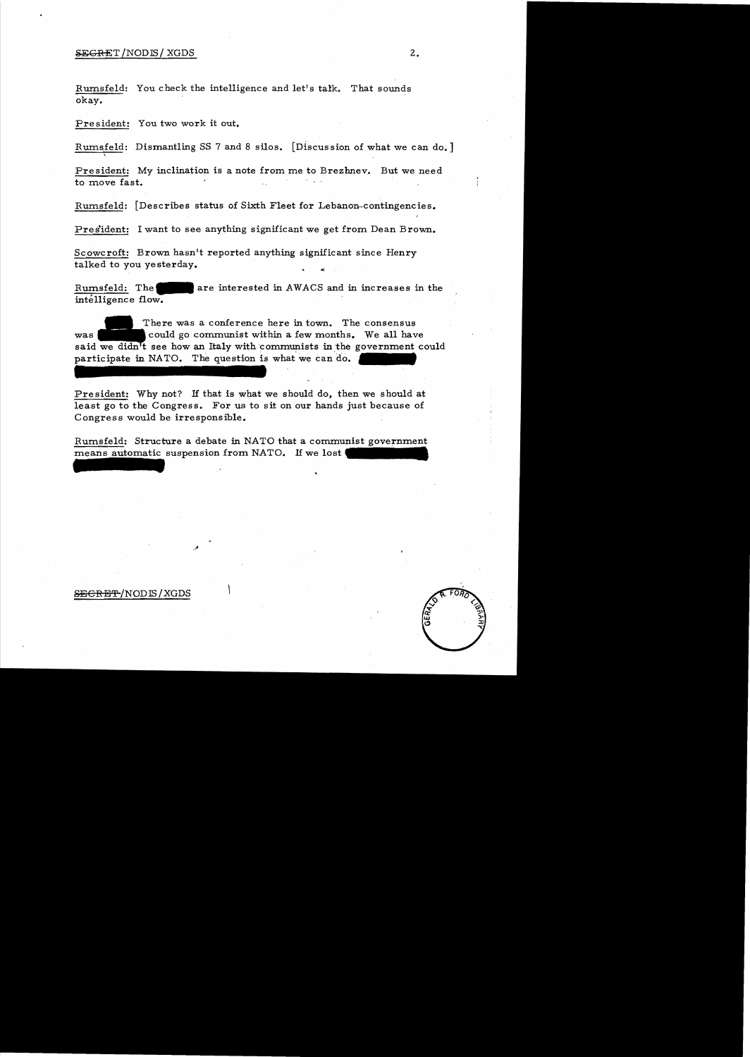## SEGRET/NODIS/XGDS 2.

Rumsfeld: You check the intelligence and let's talk. That sounds okay.

President: You two work it out.

Rurnsfeld: Dismantling SS 7 and 8 silos. [Discus sion of what we can do. ]

President: My inclination is a note from me to Brezhnev. But we need to move fast.

Rumsfeld: [Describes status of Sixth Fleet for Lebanon-contingencies.

Pres'ident: I want to see anything significant we get from Dean Brown.

Scowcroft: Brown hasn't reported anything significant since Henry talked to you yesterday.

Rurnsfeld: **The\_**are interested in AWACS and in increases in the intelligence flow. '

'There was a conference here in town. The consensus was could go communist within a few months. We all have said we didn<sup>1</sup>t see how an Italy with communists in the government could participate in NATO. The question is what we can do.

President: Why not? *H* that is what we should do, then we should at least go to the Congress. For us to sit on our hands just because of Congress would be irresponsible.

Rumsfeld: Structure a debate in NATO that a communist government means automatic suspension from NATO. If we lost

### **SECRET/NODIS/XGDS**